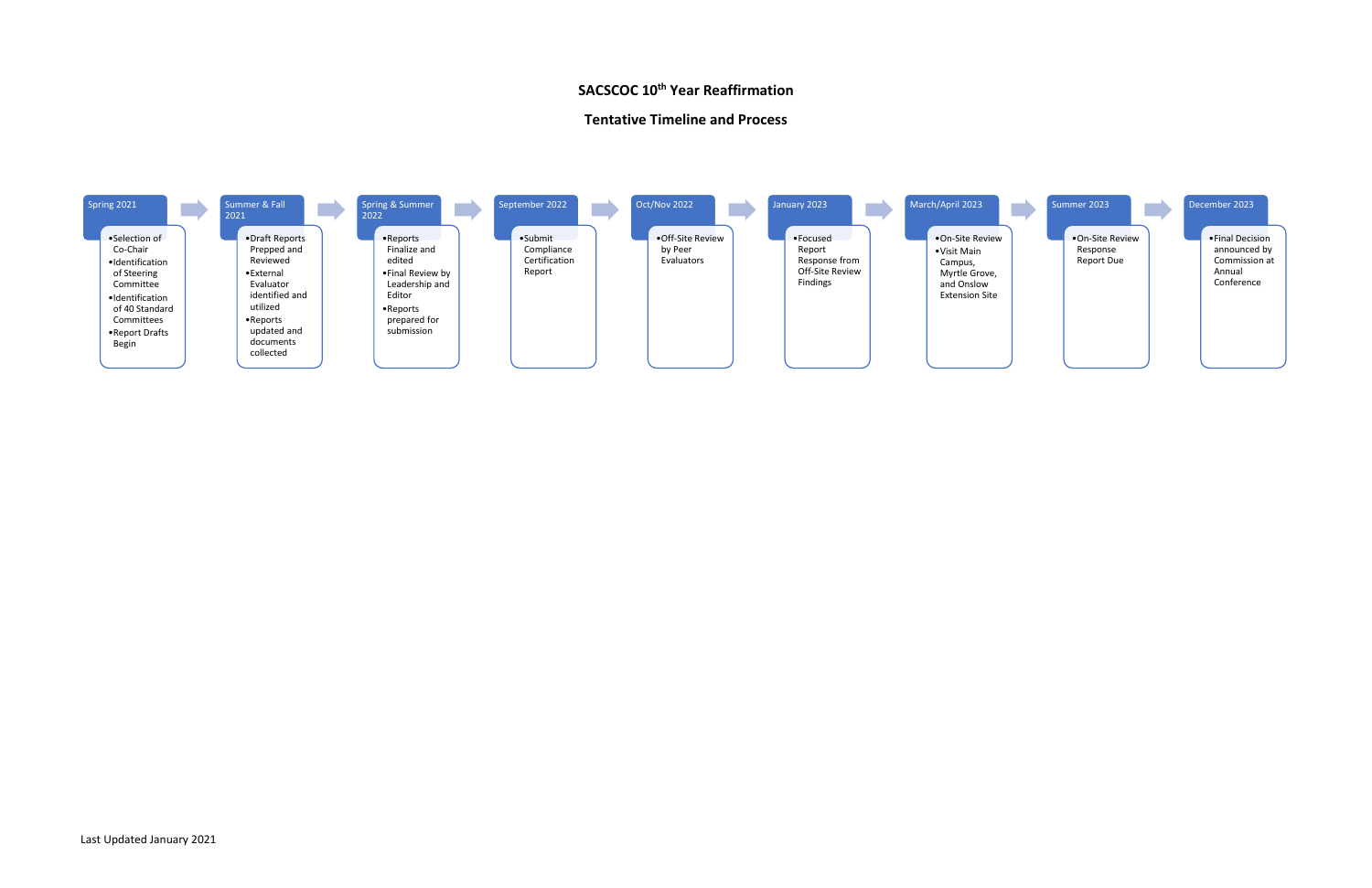# **SACSCOC 10<sup>th</sup> Year Reaffirmation**

### **Tentative Timeline and Process**



#### Summer 2023

•On-Site Review Response Report Due

### December 2023

•Final Decision announced by Commission at Annual Conference